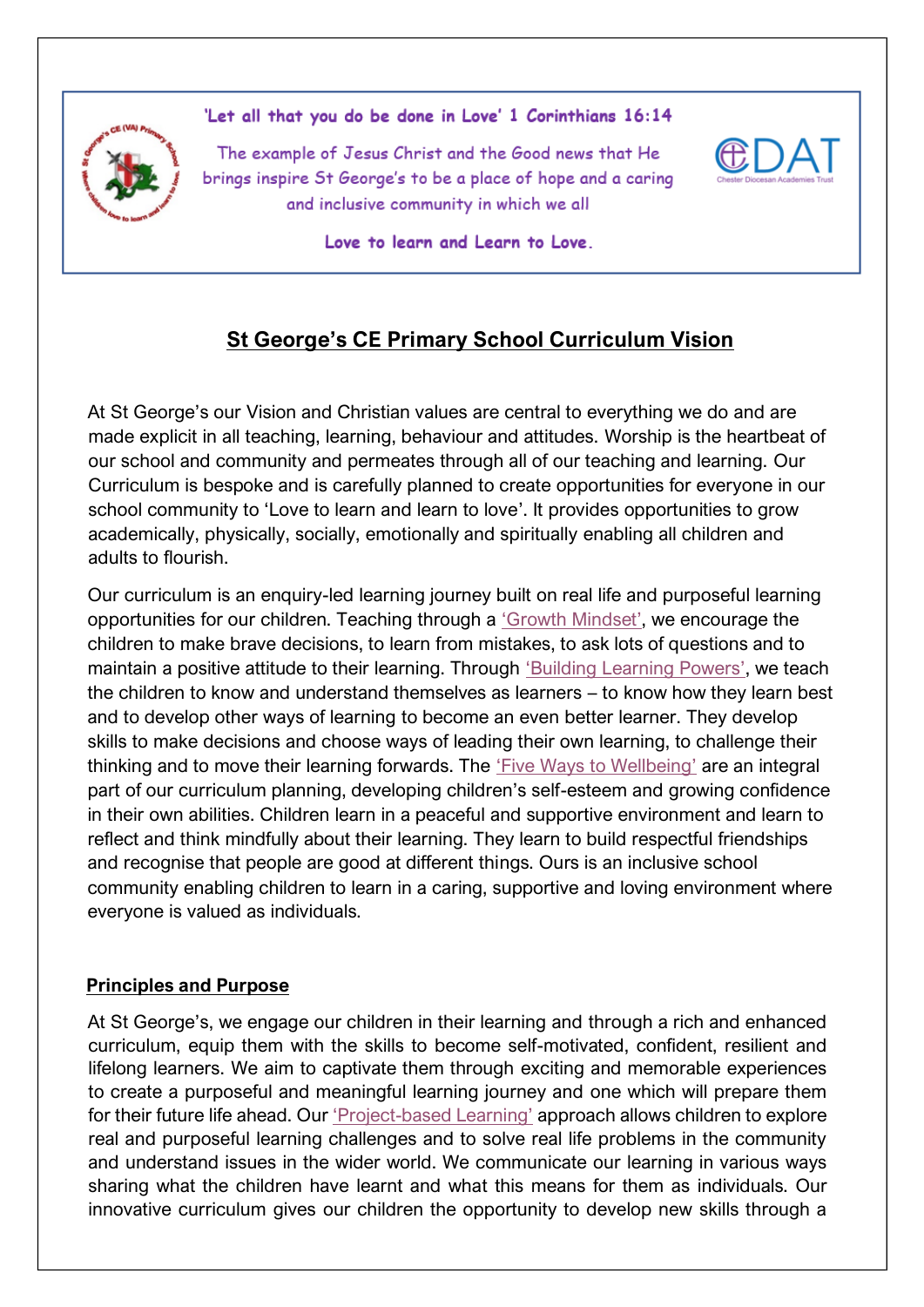

'Let all that you do be done in Love' 1 Corinthians 16:14

The example of Jesus Christ and the Good news that He brings inspire St George's to be a place of hope and a caring and inclusive community in which we all



Love to learn and Learn to Love.

# **St George's CE Primary School Curriculum Vision**

At St George's our Vision and Christian values are central to everything we do and are made explicit in all teaching, learning, behaviour and attitudes. Worship is the heartbeat of our school and community and permeates through all of our teaching and learning. Our Curriculum is bespoke and is carefully planned to create opportunities for everyone in our school community to 'Love to learn and learn to love'. It provides opportunities to grow academically, physically, socially, emotionally and spiritually enabling all children and adults to flourish.

Our curriculum is an enquiry-led learning journey built on real life and purposeful learning opportunities for our children. Teaching through a ['Growth Mindset'](https://www.st-georges-hyde.tameside.sch.uk/page/growth-mindset/98959), we encourage the children to make brave decisions, to learn from mistakes, to ask lots of questions and to maintain a positive attitude to their learning. Through ['Building Learning Powers'](https://www.st-georges-hyde.tameside.sch.uk/page/building-learning-powers/98956), we teach the children to know and understand themselves as learners – to know how they learn best and to develop other ways of learning to become an even better learner. They develop skills to make decisions and choose ways of leading their own learning, to challenge their thinking and to move their learning forwards. The '[Five Ways to Wellbeing](https://www.st-georges-hyde.tameside.sch.uk/page/five-ways-to-wellbeing/97904)' are an integral part of our curriculum planning, developing children's self-esteem and growing confidence in their own abilities. Children learn in a peaceful and supportive environment and learn to reflect and think mindfully about their learning. They learn to build respectful friendships and recognise that people are good at different things. Ours is an inclusive school community enabling children to learn in a caring, supportive and loving environment where everyone is valued as individuals.

## **Principles and Purpose**

At St George's, we engage our children in their learning and through a rich and enhanced curriculum, equip them with the skills to become self-motivated, confident, resilient and lifelong learners. We aim to captivate them through exciting and memorable experiences to create a purposeful and meaningful learning journey and one which will prepare them for their future life ahead. Our 'Project-[based Learning'](https://www.st-georges-hyde.tameside.sch.uk/page/project-based-learning/98952) approach allows children to explore real and purposeful learning challenges and to solve real life problems in the community and understand issues in the wider world. We communicate our learning in various ways sharing what the children have learnt and what this means for them as individuals. Our innovative curriculum gives our children the opportunity to develop new skills through a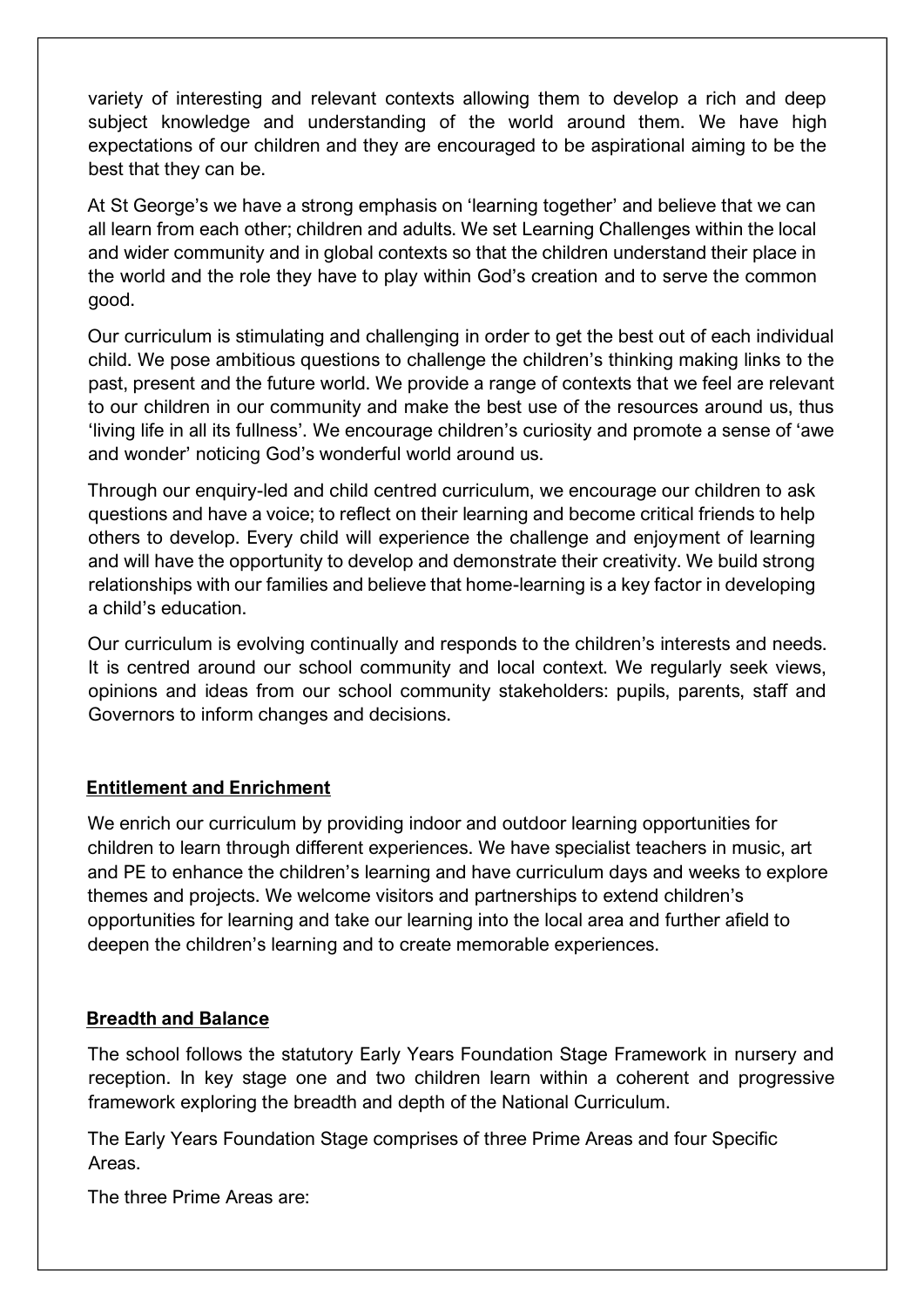variety of interesting and relevant contexts allowing them to develop a rich and deep subject knowledge and understanding of the world around them. We have high expectations of our children and they are encouraged to be aspirational aiming to be the best that they can be.

At St George's we have a strong emphasis on 'learning together' and believe that we can all learn from each other; children and adults. We set Learning Challenges within the local and wider community and in global contexts so that the children understand their place in the world and the role they have to play within God's creation and to serve the common good.

Our curriculum is stimulating and challenging in order to get the best out of each individual child. We pose ambitious questions to challenge the children's thinking making links to the past, present and the future world. We provide a range of contexts that we feel are relevant to our children in our community and make the best use of the resources around us, thus 'living life in all its fullness'. We encourage children's curiosity and promote a sense of 'awe and wonder' noticing God's wonderful world around us.

Through our enquiry-led and child centred curriculum, we encourage our children to ask questions and have a voice; to reflect on their learning and become critical friends to help others to develop. Every child will experience the challenge and enjoyment of learning and will have the opportunity to develop and demonstrate their creativity. We build strong relationships with our families and believe that home-learning is a key factor in developing a child's education.

Our curriculum is evolving continually and responds to the children's interests and needs. It is centred around our school community and local context. We regularly seek views, opinions and ideas from our school community stakeholders: pupils, parents, staff and Governors to inform changes and decisions.

### **Entitlement and Enrichment**

We enrich our curriculum by providing indoor and outdoor learning opportunities for children to learn through different experiences. We have specialist teachers in music, art and PE to enhance the children's learning and have curriculum days and weeks to explore themes and projects. We welcome visitors and partnerships to extend children's opportunities for learning and take our learning into the local area and further afield to deepen the children's learning and to create memorable experiences.

### **Breadth and Balance**

The school follows the statutory Early Years Foundation Stage Framework in nursery and reception. In key stage one and two children learn within a coherent and progressive framework exploring the breadth and depth of the National Curriculum.

The Early Years Foundation Stage comprises of three Prime Areas and four Specific Areas.

The three Prime Areas are: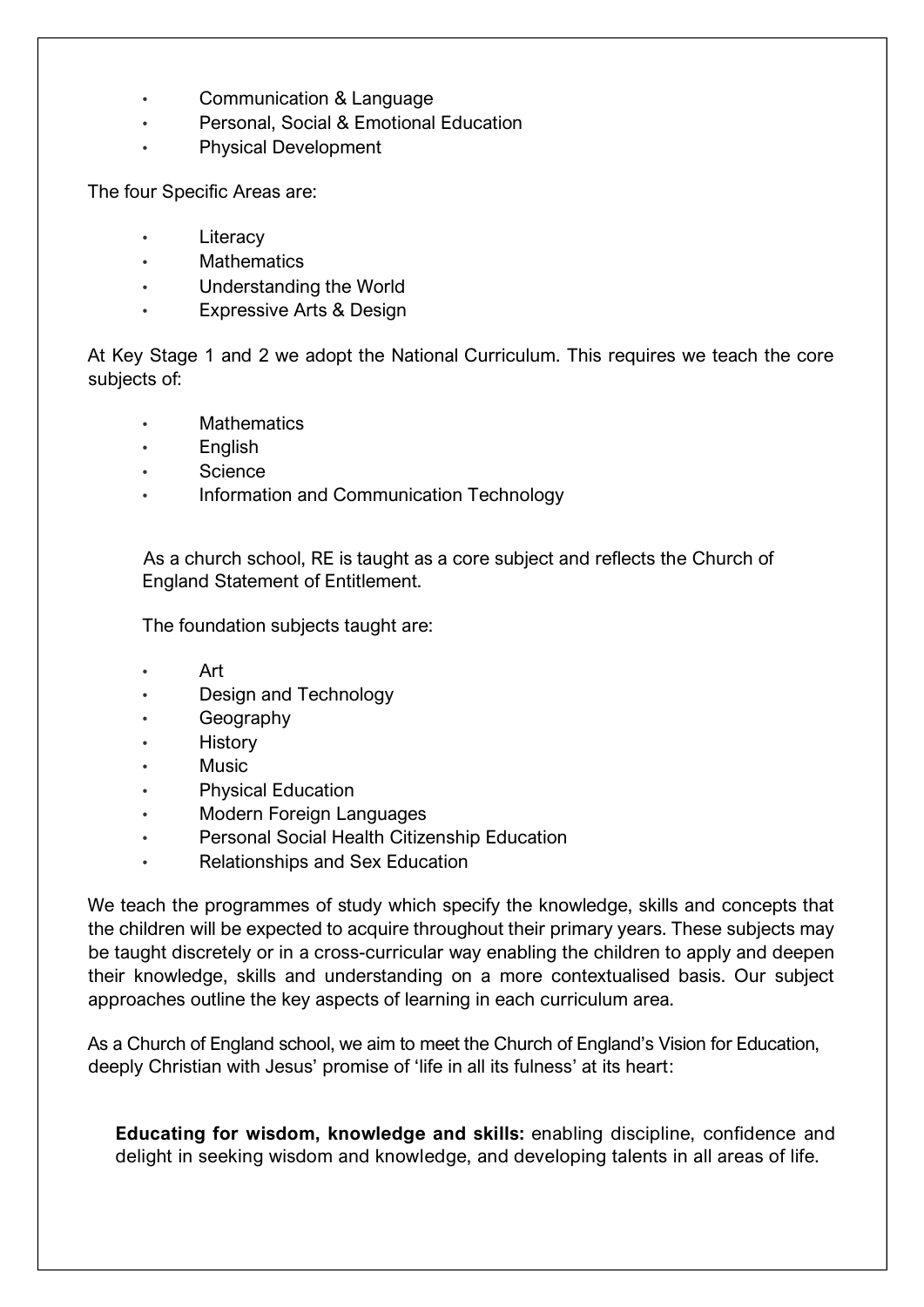- Communication & Language
- Personal, Social & Emotional Education
- Physical Development

The four Specific Areas are:

- **Literacy**
- **Mathematics**
- Understanding the World
- **Expressive Arts & Design**

At Key Stage 1 and 2 we adopt the National Curriculum. This requires we teach the core subjects of:

- **[Mathematics](https://www.gov.uk/government/uploads/system/uploads/attachment_data/file/425601/PRIMARY_national_curriculum.pdf)**
- [English](https://www.gov.uk/government/uploads/system/uploads/attachment_data/file/425601/PRIMARY_national_curriculum.pdf)
- **[Science](https://www.st-johns-primary.co.uk/downloadfile/5897245?open=true)**
- [Information and Communication Technology](https://www.st-johns-primary.co.uk/downloadfile/7743457?open=true)

As a church school, RE is taught as a core subject and reflects the Church of England Statement of Entitlement[.](https://www.st-johns-primary.co.uk/downloadfile/7743457?open=true)

The foundation subjects taught are:

- [Art](https://www.st-johns-primary.co.uk/downloadfile/5897249?open=true)
- [Design and Technology](https://www.st-johns-primary.co.uk/downloadfile/5897252?open=true)
- [Geography](https://www.st-johns-primary.co.uk/downloadfile/5926065?open=true)
- **[History](https://www.st-johns-primary.co.uk/downloadfile/5926235?open=true)**
- [Music](https://www.st-johns-primary.co.uk/downloadfile/11658555?open=true)
- [Physical Education](https://www.st-johns-primary.co.uk/downloadfile/5897256?open=true)
- Modern Foreign Languages
- Personal Social Health Citizenship Education
- Relationships and Sex Education

We teach the programmes of study which specify the knowledge, skills and concepts that the children will be expected to acquire throughout their primary years. These subjects may be taught discretely or in a cross-curricular way enabling the children to apply and deepen their knowledge, skills and understanding on a more contextualised basis. Our subject approaches outline the key aspects of learning in each curriculum area.

As a Church of England school, we aim to meet the Church of England's Vision for Education, deeply Christian with Jesus' promise of 'life in all its fulness' at its heart:

**Educating for wisdom, knowledge and skills:** enabling discipline, confidence and delight in seeking wisdom and knowledge, and developing talents in all areas of life.